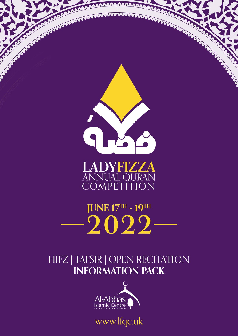

# HIFZ | TAFSIR | OPEN RECITATION **INFORMATION PACK**



www.lfqc.uk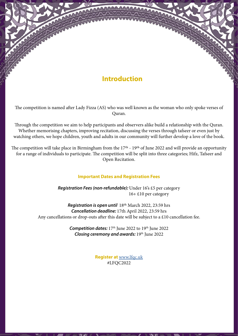### **Introduction**

The competition is named after Lady Fizza (AS) who was well known as the woman who only spoke verses of Quran.

Through the competition we aim to help participants and observers alike build a relationship with the Quran. Whether memorising chapters, improving recitation, discussing the verses through tafseer or even just by watching others, we hope children, youth and adults in our community will further develop a love of the book.

The competition will take place in Birmingham from the 17<sup>th</sup> - 19<sup>th</sup> of June 2022 and will provide an opportunity for a range of individuals to participate. The competition will be split into three categories; Hifz, Tafseer and Open Recitation.

### **Important Dates and Registration Fees**

*Registration Fees (non-refundable):* Under 16's £5 per category 16+ £10 per category

*Registration is open until* 18th March 2022, 23:59 hrs *Cancellation deadline:* 17th April 2022, 23:59 hrs Any cancellations or drop-outs after this date will be subject to a £10 cancellation fee.

> **Competition dates:** 17<sup>th</sup> June 2022 to 19<sup>th</sup> June 2022 *Closing ceremony and awards:* 19th June 2022

> > **Register at** [www.lfqc.uk](http://www.lfqc.uk) #LFQC2022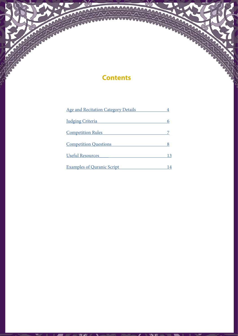### **Contents**

mm

| <b>Age and Recitation Category Details</b>          |    |
|-----------------------------------------------------|----|
| <b>Judging Criteria</b><br><b>Competition Rules</b> | 6  |
|                                                     |    |
| <b>Useful Resources</b>                             | 13 |
| <b>Examples of Quranic Script</b>                   | 14 |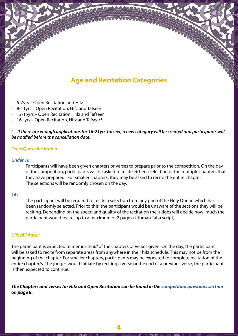# **Age and Recitation Categories**

- <span id="page-3-0"></span>• 5-7yrs – Open Recitation and Hifz
- 8-11yrs Open Recitation, Hifz and Tafseer
- 12-15yrs Open Recitation, Hifz and Tafseer
- 16+yrs Open Recitation, Hifz and Tafseer\*

\* *If there are enough applications for 16-21yrs Tafseer, a new category will be created and participants will be notified before the cancellation date.* 

### *Open Quran Recitation:*

#### *Under 16*

Participants will have been given chapters or verses to prepare prior to the competition. On the day of the competition, participants will be asked to recite either a selection or the multiple chapters that they have prepared. For smaller chapters, they may be asked to recite the entire chapter. The selections will be randomly chosen on the day.

#### *16+*

The participant will be required to recite a selection from any part of the Holy Qur'an which has been randomly selected. Prior to this, the participant would be unaware of the sections they will be reciting. Depending on the speed and quality of the recitation the judges will decide how much the participant would recite, up to a maximum of 2 pages (Uthman Taha script).

### *Hifz (All Ages):*

The participant is expected to memorise *all* of the chapters or verses given. On the day, the participant will be asked to recite from separate areas from anywhere in their hifz schedule. This may not be from the beginning of the chapter. For smaller chapters, participants may be expected to complete recitation of the entire chapter/s. The judges would initiate by reciting a verse or the end of a previous verse, the participant is then expected to continue.

*The Chapters and verses for Hifz and Open Recitation can be found in the [competition questions section](#page-7-0) on page 8.*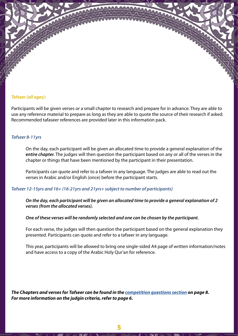### *Tafseer (all ages):*

Participants will be given verses or a small chapter to research and prepare for in advance. They are able to use any reference material to prepare as long as they are able to quote the source of their research if asked. Recommended tafaseer references are provided later in this information pack.

#### *Tafseer 8-11yrs*

On the day, each participant will be given an allocated time to provide a general explanation of the *entire chapter.* The judges will then question the participant based on any or all of the verses in the chapter or things that have been mentioned by the participant in their presentation.

Participants can quote and refer to a tafseer in any language. The judges are able to read out the verses in Arabic and/or English (once) before the participant starts.

#### *Tafseer 12-15yrs and 16+ (16-21yrs and 21yrs+ subject to number of participants)*

*On the day, each participant will be given an allocated time to provide a general explanation of 2 verses (from the allocated verses).* 

#### *One of these verses will be randomly selected and one can be chosen by the participant.*

For each verse, the judges will then question the participant based on the general explanation they presented. Participants can quote and refer to a tafseer in any language.

This year, participants will be allowed to bring one single-sided A4 page of written information/notes and have access to a copy of the Arabic Holy Qur'an for reference.

*The Chapters and verses for Tafseer can be found in the [competition questions section](#page-7-0) on page 8. For more information on the judgin criteria, refer to page 6.*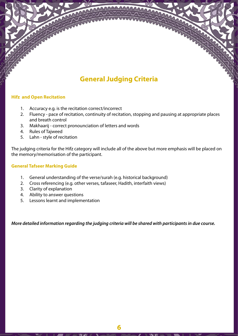# **General Judging Criteria**

### <span id="page-5-0"></span>**Hifz and Open Recitation**

- 1. Accuracy e.g. is the recitation correct/incorrect
- 2. Fluency pace of recitation, continuity of recitation, stopping and pausing at appropriate places and breath control
- 3. Makhaarij correct pronounciation of letters and words
- 4. Rules of Tajweed
- 5. Lahn style of recitation

The judging criteria for the Hifz category will include all of the above but more emphasis will be placed on the memory/memorisation of the participant.

### **General Tafseer Marking Guide**

- 1. General understanding of the verse/surah (e.g. historical background)
- 2. Cross referencing (e.g. other verses, tafaseer, Hadith, interfaith views)
- 3. Clarity of explanation
- 4. Ability to answer questions
- 5. Lessons learnt and implementation

*More detailed information regarding the judging criteria will be shared with participants in due course.*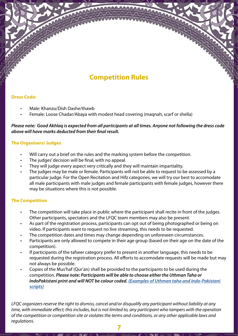# **Competition Rules**

### <span id="page-6-0"></span>**Dress Code:**

- Male: Khanzu/Dish Dashe/thawb
- Female: Loose Chadar/Abaya with modest head covering (maqnah, scarf or shella)

### *Please note: Good Akhlaq is expected from all participants at all times. Anyone not following the dress code above will have marks deducted from their final result.*

### **The Organisers/ Judges**

- Will carry out a brief on the rules and the marking system before the competition.
- The judges' decision will be final, with no appeal.
- They will judge every aspect very critically and they will maintain impartiality.
- The judges may be male or female. Participants will not be able to request to be assessed by a particular judge. For the Open Recitation and Hifz categories, we will try our best to accomodate all male participants with male judges and female participants with female judges, however there may be situations where this is not possible.

### **The Competition**

- The competition will take place in public where the participant shall recite in front of the judges. Other participants, spectators and the LFQC team members may also be present.
- As part of the registration process, participants can opt out of being photographed or being on video. If participants want to request no live streaming, this needs to be requested.
- The competition dates and times may change depending on unforeseen circumstances.
- Participants are only allowed to compete in their age group (based on their age on the date of the competition).
- If participants of the tafseer category prefer to present in another language, this needs to be requested during the registration process. All efforts to accomodate requests will be made but may not always be possible.
- Copies of the Mus'haf (Qur'an) shall be provided to the participants to be used during the competition. *Please note: Participants will be able to choose either the Uthman Taha or IndoPakistani print and will NOT be colour coded. [\(Examples of Uthman taha and Indo-Pakistani](#page-13-0)  [scripts\)](#page-13-0)*

*LFQC organizers reserve the right to dismiss, cancel and/or disqualify any participant without liability at any time, with immediate effect; this includes, but is not limited to, any participant who tampers with the operation of the competition or competition site or violates the terms and conditions, or any other applicable laws and regulations.* 

**7**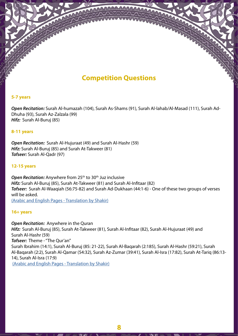# **Competition Questions**

### <span id="page-7-0"></span>**5-7 years**

*Open Recitation:* Surah Al-humazah (104), Surah As-Shams (91), Surah Al-lahab/Al-Masad (111), Surah Ad-Dhuha (93), Surah Az-Zalzala (99) *Hifz:* Surah Al-Buruj (85)

### **8-11 years**

*Open Recitation:* Surah Al-Hujuraat (49) and Surah Al-Hashr (59) *Hifz:* Surah Al-Buruj (85) and Surah At-Takweer (81) *Tafseer:* Surah Al-Qadr (97)

### **12-15 years**

**Open Recitation:** Anywhere from 25<sup>th</sup> to 30<sup>th</sup> Juz inclusive *Hifz:* Surah Al-Buruj (85), Surah At-Takweer (81) and Surah Al-Infitaar (82) *Tafseer:* Surah Al-Waaqiah (56:75-82) and Surah Ad-Dukhaan (44:1-6) - One of these two groups of verses will be asked. [\(Arabic and English Pages - Translation by Shakir\)](#page-8-0)

#### **16+ years**

*Open Recitation:* Anywhere in the Quran *Hifz:* Surah Al-Buruj (85), Surah At-Takweer (81), Surah Al-Infitaar (82), Surah Al-Hujuraat (49) and Surah Al-Hashr (59) *Tafseer:* Theme - "The Qur'an" Surah Ibrahim (14:1), Surah Al-Buruj (85: 21-22), Surah Al-Baqarah (2:185), Surah Al-Hashr (59:21), Surah Al-Baqarah (2:2), Surah Al-Qamar (54:32), Surah Az-Zumar (39:41), Surah Al-Isra (17:82), Surah At-Tariq (86:13- 14), Surah Al-Isra (17:9) [\(Arabic and English Pages - Translation by Shakir\)](#page-10-0)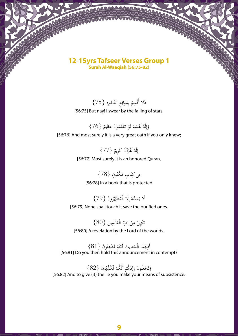### <span id="page-8-0"></span>**12-15yrs Tafseer Verses Group 1 Surah Al-Waaqiah (56:75-82)**

}75{ ِ ُوم ج ِع النُّ اق َو ِم ُ ب ِم ْس ََل أُق ف ر<br>ر [56:75] But nay! I swear by the falling of stars;

ِ

وَإِنَّهُ لَقَسَمٌ لَوْ تعْلَمُونَ عَظِيمٌ {76} ْ ا<br>ا  $\ddot{\phantom{0}}$ ِ إ َ [56:76] And most surely it is a very great oath if you only knew;

> نَّهُ لَقْرْآنٌ كَرِيمٌ {77} ِ إ [56:77] Most surely it is an honored Quran,

فِي كِتَابٍ مَكْنُونٍ {78} ت ِ [56:78] In a book that is protected

لَا يَمَسُّهُ إِلَّا الْمُطَهَّرُونَ {79}<br>. ب<br>: [56:79] None shall touch it save the purified ones.

تَنْزِيلٌ مِنْ رَبِّ الْعَالَمِينَ {80}<br>. .<br>.<br>. ن .<br>أ [56:80] A revelation by the Lord of the worlds.

أَفَيِهَٰذَا الْحَدِيثِ أَنْتُمْ مُدْهِنُونَ  $\{81\}$ }<br>uthen hold this announcement و<br>م ِ ت ້.<br>-ے<br>د ب ق<br>: [56:81] Do you then hold this announcement in contempt?

وَتَجْعَلُونَ رِزْقَكُمْ أَنَّكُمْ تُكَذِّبُونَ {82}<br>«Git) the lie vou make vour maa و<br>به ٍّ. ٔ ت ہ<br>ا [56:82] And to give (it) the lie you make your means of subsistence.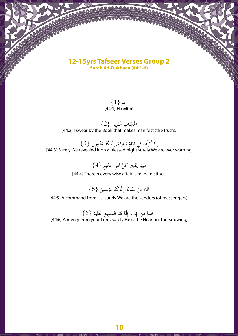### **12-15yrs Tafseer Verses Group 2 Surah Ad-Dukhaan (44:1-6)**

 $\{1\}$  حم [44:1] Ha Mim!

وَالْكِتَابِ الْمُبِينِ {2}<br>Book that makes ! ب ت  $\leq$ ٍ<br>ا [44:2] I swear by the Book that makes manifest (the truth).

نَّا أَنْزَلْنَاهُ فِي لَيْلَةِ مُبَارَكَةٍ ۽ إِنَّا كُنَّا مُنْذِرِينَ  $\{3\}$ <br>evealed it on a blessed pigbt surely We ن ِ ر<br>ء ب ا<br>ا ل زا<br>، .<br>. ٍ<br>ٍٍٍٍٍٍٍٍٍٍٍٍٍٍٍٍٍٍٍٍٍٍٍٍٍٍٍٍٍ إ [44:3] Surely We revealed it on a blessed night surely We are ever warning

> ِ ٍيم }4{ َك ٍر ح َ ُق ُ ك ُّل أَم ْر ف ُ َا يـ ِيه ف ْ

[44:4] Therein every wise affair is made distinct,

أَمْرًا مِنْ عِنْدِنَا <sub>ۚ</sub> إِنَّا كُنَّا مُرْسِلِينَ {5}<br>. ِ ن ِ ن ِ

[44:5] A command from Us; surely We are the senders (of messengers),

رَحْمَةً مِنْ رَبِّكَ ۦ إِنَّهُ هُوَ السَّمِيعُ الْعَلِيمُ {6}<br>rom your Lord\_surely He is the Hearin َ ا<br>ِإِ ِ<br>بُ بار ر<br>ا ہ<br>د [44:6] A mercy from your Lord, surely He is the Hearing, the Knowing,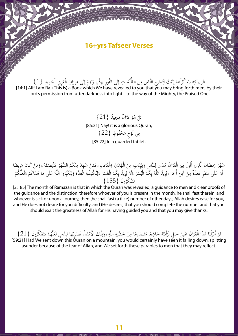### **16+yrs Tafseer Verses**

<span id="page-10-0"></span>الر ۽ كِتَابٌ أَنْزَلْنَاهُ إِلَيْكَ لِتُحْرِجَ النَّاسَ مِنَ الظُّلُمَاتِ إِلَى النُّورِ بِإِذْنِ رَبِّهِمْ إِلَىٰ صِرَاطِ الْعَزِيزِ الْحَمِيلِ {1}<br>flam Ba (This is) a Book which We have revealed to you that you may bri ه<br>i ر<br>ર ِ با<br>ز ر<br>ہا ِ<br>ب ِ<br>ِإِ ت <u>با</u> اُ ل زا<br>م .<br>د ت ِ [14:1] Alif Lam Ra. (This is) a Book which We have revealed to you that you may bring forth men, by their Lord's permission from utter darkness into light-- to the way of the Mighty, the Praised One,

> بَلْ هُوَ قُرْآنٌ مَجِيدٌ {21}<br>-ب [85:21] Nay! it is a glorious Quran, فِي لَوْحٍ مَحْفُوظٍ {22} [85:22] In a guarded tablet.

شَهْرُ رَمَضَانَ الَّذِي أُنْزِلَ فِيهِ الْقُرْآنُ هُدًى لِلنَّاسِ وَبِيِّنَاتٍ مِنَ الْهُدَىٰ وَالْفُرْقَانِ ءفَمَنْ شَهِدَ مِنْكُمُ الشَّهْرَ فَلْيَصُمْهُ ، وَمَنْ كَانَ مَرِيضًا<br>تَمَسَعَلَمُ مَسَوَّمَةً مِنْ يَمَسَعُ م م<br>ء َ ـا<br>ا ن ِ <u>ّز</u> َ ي م:<br>. ٍ<br>بر :<br>أ را<br>تە ْ أَوْ عَلَىٰ سَفَرٍ فَعِدَّةٌ مِنْ أَيَّامٍ أُخَرَ 见 يُرِيدُ اللَّهُ بِكُمُ الْيُسْرَ وَلَا يُرِيدُ بِكُمُ الْعُسْرَ وَلِتُكْمِلُوا الْعِدَّةَ وَلِتُكَبِّرُوا اللَّهَ عَلَىٰ مَا هَدَاكُمْ وَلَعَلَّكُمْ<br>- ( 105 مَسْلَمَ الْ َ َ **ء** ت ا ل َ ت ا ل َ َ َ تَشْكَرُونَ {185}<br>the Quran was r ت

[2:185] The month of Ramazan is that in which the Quran was revealed, a guidance to men and clear proofs of the guidance and the distinction; therefore whoever of you is present in the month, he shall fast therein, and whoever is sick or upon a journey, then (he shall fast) a (like) number of other days; Allah desires ease for you, and He does not desire for you difficulty, and (He desires) that you should complete the number and that you should exalt the greatness of Allah for His having guided you and that you may give thanks.

لَوْ أَنْزَلْنَا هَٰذَا الْقُرْآنَ عَلَىٰ جَبَلٍ لَرَأَيْتَهُ حَاشِعًا مُتَصَدِّعًا مِنْ حَشْيَةِ اللَّهِ ۽ وَتِلْكَ الْأَمْثَالُ نَضْرِبُهَا لِلنَّاسِ لَعَلَّهُمْ يَتَفَكَّرُونَ {21}<br>You would certainly baye seen it fall ،<br>ء ׇ֪֪֪֪֪֪֪֪֪֪֪֪֪֪֦֧֧֧֪֪֪֦֧֧֪֪֪֦֧֡֞֝֝֝֬֟֓֝֬֝֟֓֝֬֝<br>֧֪֪֧֝ َ ث ا<br>ا ِ ن<br>تر و<br>ا بہ<br>د ت ت .<br>. را<br>د .<br>د ب ہ<br>س ر<br>-ة<br>, ل :<br>نه .<br>م [59:21] Had We sent down this Quran on a mountain, you would certainly have seen it falling down, splitting asunder because of the fear of Allah, and We set forth these parables to men that they may reflect.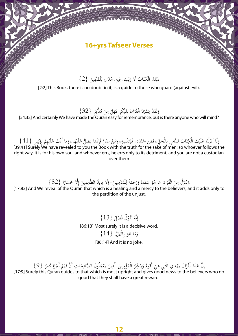### **16+yrs Tafseer Verses**

ذَٰلِكَ الْكِتَابُ لَا رَيْبَ فِيهِ هُدًى لِلْمُتَّقِينَ {2} ِ<br>ل ي َ ت  $\leq$ ِ

[2:2] This Book, there is no doubt in it, is a quide to those who quard (against evil).

وَلَقَدْ يَسَّرْنَا الْقُرْآنَ لِللَّكِّرِ فَهَلْ مِنْ مُدَّكِرٍ {32}<br>pade the Ouran easy for remembrance but ֧֓<mark>֓</mark> ِرِ ن ز<br>ف ه<br>ا

[54:32] And certainly We have made the Quran easy for remembrance, but is there anyone who will mind?

نَّا أَنْزَلْنَا عَلَيْكَ الْكِتَابَ لِلنَّاسِ بِالْحَقِّ فَمَنِ اهْتَدَىٰ فَلِنَفْسِهِ وَمَنْ ضَلَّ فَإِنَّمَا يَضِلُّ عَلَيْهَا وَمَا أَنْتَ عَلَيْهِمْ بِوَكِيلٍ {41}<br>All Suraly We have revealed to you the Book with the و<br>' د<br>ما ء<br>-ہ<br>۔ ֡֡֘<sup>֟</sup> ء<br>۔ یا<br>. ه<br>د ِ<br>⊦ ت  $\leq$ ً<br>د ل زا<br>م ِ إ [39:41] Surely We have revealed to you the Book with the truth for the sake of men; so whoever follows the right way, it is for his own soul and whoever errs, he errs only to its detriment; and you are not a custodian over them

> وَتُنَزِّلُ مِنَ الْقُرْآنِ مَا هُوَ شِفَاءٌ وَرَحْمَةٌ لِلْمُؤْمِنِينَ <sub>لا</sub>وَلَا يَزِيدُ الظَّالِمِينَ إِلَّا خَسَارًا {82}<br>veal of the Quran that which is a bealing and a mercy to the believers a يز<br>-ه<br>c ن  $\overline{\phantom{a}}$ ِ م<br>ا و<br>: .<br>ء

و<br>د [17:82] And We reveal of the Quran that which is a healing and a mercy to the believers, and it adds only to the perdition of the unjust.

> نَّهُ لَقَوْلَ فَصْلٌ {13}<br>. ِ إ [86:13] Most surely it is a decisive word, وَمَا هُوَ بِالْهَزْلِ {14}<br>. .<br>نر َ [86:14] And it is no joke.

إِنَّ هَٰذَا الْقُرْآنَ يَهْدِي لِلَّتِي هِيَ أَقْوَمُ وَيُبَشِّرُ الْمُؤْمِنِينَ الَّذِينَ يَعْمَلُونَ الصَّالِحَاتِ أَنَّ لَهُمْ أَجْرًا كَبِيرًا  $\{9\}$ <br>elv this Quran quides to that which is most upright and gives goo م<br>م ِ<br>َا ن ِ ب ه<br>د و<br>ر ْ ڶ ֪֪֪֝<del>֓</del><br>֧֪֖֖֖֖֖֖֝֓֓֓ ة<br>.. إ [17:9] Surely this Quran guides to that which is most upright and gives good news to the believers who do

good that they shall have a great reward.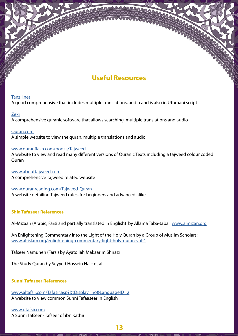### **Useful Resources**

### <span id="page-12-0"></span>[Tanzil.net](http://Tanzil.net)

A good comprehensive that includes multiple translations, audio and is also in Uthmani script

### [Zekr](http://zekr.org/)

A comprehensive quranic software that allows searching, multiple translations and audio

[Quran.com](http://Quran.com) A simple website to view the quran, multiple translations and audio

### [www.quranflash.com/books/Tajweed](http://www.quranflash.com/books/Tajweed)

A website to view and read many different versions of Quranic Texts including a tajweed colour coded **Ouran** 

[www.abouttajweed.com](http://www.abouttajweed.com) A comprehensive Tajweed related website

[www.quranreading.com/Tajweed-Quran](http://www.quranreading.com/Tajweed-Quran) A website detailing Tajweed rules, for beginners and advanced alike

### **Shia Tafaseer References**

Al-Mizaan (Arabic, Farsi and partially translated in English) by Allama Taba-tabai [www.almizan.org](http://www.almizan.org)

An Enlightening Commentary into the Light of the Holy Quran by a Group of Muslim Scholars: [www.al-islam.org/enlightening-commentary-light-holy-quran-vol-1](http://www.al-islam.org/enlightening-commentary-light-holy-quran-vol-1)

Tafseer Namuneh (Farsi) by Ayatollah Makaarim Shirazi

The Study Quran by Seyyed Hossein Nasr et al.

### **Sunni Tafaseer References**

[www.altafsir.com/Tafasir.asp?&tDisplay=no&LanguageID=2](http://www.altafsir.com/Tafasir.asp?&tDisplay=no&LanguageID=2) A website to view common Sunni Tafaaseer in English

[www.qtafsir.com](http://www.qtafsir.com) A Sunni Tafseer - Tafseer of ibn Kathir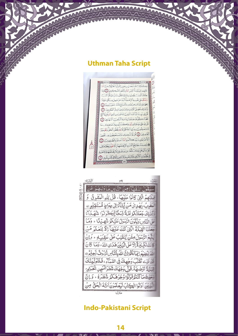### <span id="page-13-0"></span>**Uthman Taha Script**

جَآهُكَ ٱلَّذِينَ يُؤْمِنُهُنَ كَايَنْتَنَافَقُلَّ مَ نَابَ مِنْ بَعَدِهِ وَأَصْلَحَ فَأَنَّهُ لَ ٱلْآيَدَ وَلِتَسْتَبِينَ سَبِيلُ ٱ قُلْ إِنِّي ثُمِيتُ أَنَّ أَعْبُدَ ٱلَّذِينَ تَدْعُونَ مِن دُونِ ٱ تُمُّقَدَّ صَلَلَتُ}ذَاوَمَآأَنآمِرَ سَنَ ٱلْمُ قُلْ إِنَّى عَلَىٰ بَيِّنَةٍ مِّن زَّذٍ وَكَذَّبَتُكُمْ تَسْتَعْجِلُونَ بِدِيَّانِ ٱلْحُكْمُ إِلَّا شَيْئِهِ مِّنَ ٱلْحَقِّ الْفَصِيلِينَ إِنَّ قُلْ لَوْأَنَّ عِندِي مَا تَسْتَعْجَلُونَ بِهِ أَلْأَمْرُ بَيْنِ وَبَيْنَكُمْ وَأَنَّهُ أَعْسَلَهُ بِالظَّلِيمِنَ [5] ﴾ وَعِسْدَهُ، مَفَاتِحُ ٱلْغَيْبِ لَا يَعْلَمُهَآ إِلَّا هُوَّ وَيَعْلَمُ مَا وَ ¢ ابَرِ وَٱلۡبَحۡرِۚ وَمَاشَـقُطُ مِن وَرَقَــۃٍ إِلَّا يَعۡـلَمُهَاوَلَاحَبَـٰٓةٍ .<br>.<br>پْهُلُمُكَنِّ ٱلْأَرْضِ وَلَارَطَبِ وَلَا يَابِسٍ إِلَّا فِي كِنَكٍ مُّبِينِ لِنَّهَا **WANNAMAY IT! NAVALANA** 



### **Indo-Pakistani Script**